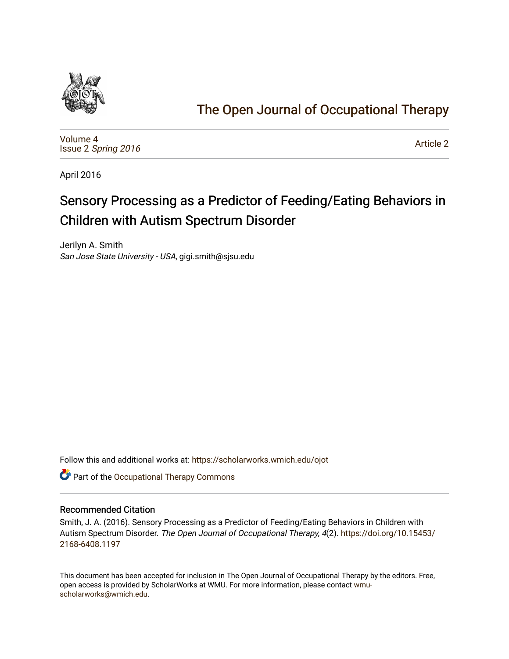

# [The Open Journal of Occupational Therapy](https://scholarworks.wmich.edu/ojot)

[Volume 4](https://scholarworks.wmich.edu/ojot/vol4) Issue 2 [Spring 2016](https://scholarworks.wmich.edu/ojot/vol4/iss2) 

[Article 2](https://scholarworks.wmich.edu/ojot/vol4/iss2/2) 

April 2016

# Sensory Processing as a Predictor of Feeding/Eating Behaviors in Children with Autism Spectrum Disorder

Jerilyn A. Smith San Jose State University - USA, gigi.smith@sjsu.edu

Follow this and additional works at: [https://scholarworks.wmich.edu/ojot](https://scholarworks.wmich.edu/ojot?utm_source=scholarworks.wmich.edu%2Fojot%2Fvol4%2Fiss2%2F2&utm_medium=PDF&utm_campaign=PDFCoverPages)

**C** Part of the Occupational Therapy Commons

# Recommended Citation

Smith, J. A. (2016). Sensory Processing as a Predictor of Feeding/Eating Behaviors in Children with Autism Spectrum Disorder. The Open Journal of Occupational Therapy, 4(2). [https://doi.org/10.15453/](https://doi.org/10.15453/2168-6408.1197) [2168-6408.1197](https://doi.org/10.15453/2168-6408.1197) 

This document has been accepted for inclusion in The Open Journal of Occupational Therapy by the editors. Free, open access is provided by ScholarWorks at WMU. For more information, please contact [wmu](mailto:wmu-scholarworks@wmich.edu)[scholarworks@wmich.edu.](mailto:wmu-scholarworks@wmich.edu)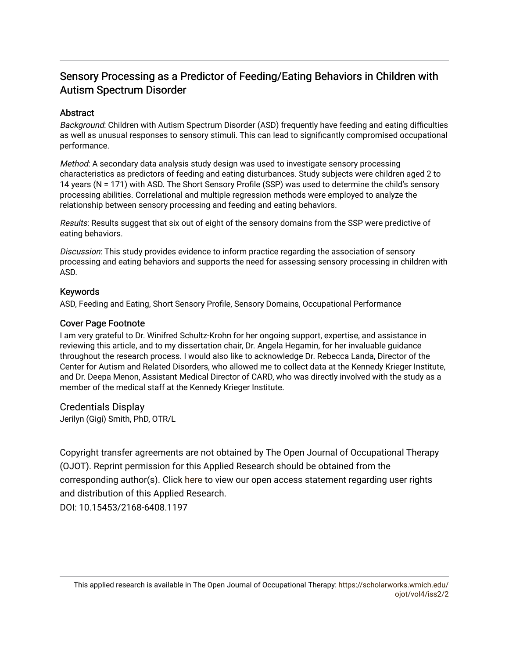# Sensory Processing as a Predictor of Feeding/Eating Behaviors in Children with Autism Spectrum Disorder

# **Abstract**

Background: Children with Autism Spectrum Disorder (ASD) frequently have feeding and eating difficulties as well as unusual responses to sensory stimuli. This can lead to significantly compromised occupational performance.

Method: A secondary data analysis study design was used to investigate sensory processing characteristics as predictors of feeding and eating disturbances. Study subjects were children aged 2 to 14 years (N = 171) with ASD. The Short Sensory Profile (SSP) was used to determine the child's sensory processing abilities. Correlational and multiple regression methods were employed to analyze the relationship between sensory processing and feeding and eating behaviors.

Results: Results suggest that six out of eight of the sensory domains from the SSP were predictive of eating behaviors.

Discussion: This study provides evidence to inform practice regarding the association of sensory processing and eating behaviors and supports the need for assessing sensory processing in children with ASD.

# Keywords

ASD, Feeding and Eating, Short Sensory Profile, Sensory Domains, Occupational Performance

# Cover Page Footnote

I am very grateful to Dr. Winifred Schultz-Krohn for her ongoing support, expertise, and assistance in reviewing this article, and to my dissertation chair, Dr. Angela Hegamin, for her invaluable guidance throughout the research process. I would also like to acknowledge Dr. Rebecca Landa, Director of the Center for Autism and Related Disorders, who allowed me to collect data at the Kennedy Krieger Institute, and Dr. Deepa Menon, Assistant Medical Director of CARD, who was directly involved with the study as a member of the medical staff at the Kennedy Krieger Institute.

Credentials Display Jerilyn (Gigi) Smith, PhD, OTR/L

Copyright transfer agreements are not obtained by The Open Journal of Occupational Therapy (OJOT). Reprint permission for this Applied Research should be obtained from the corresponding author(s). Click [here](https://scholarworks.wmich.edu/ojot/policies.html#rights) to view our open access statement regarding user rights and distribution of this Applied Research.

DOI: 10.15453/2168-6408.1197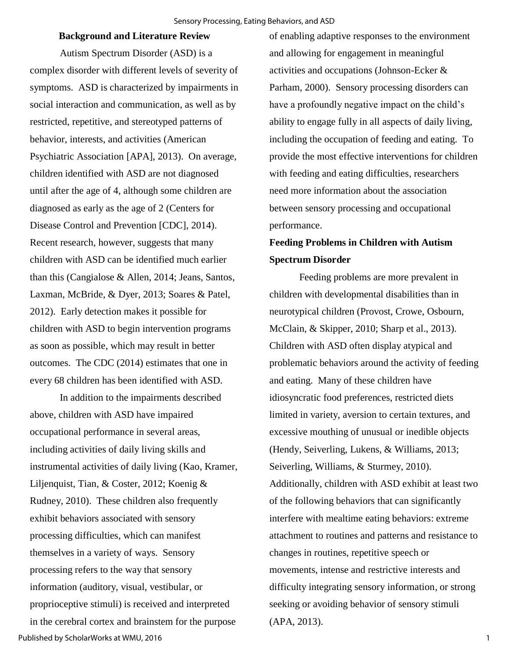#### **Background and Literature Review**

Autism Spectrum Disorder (ASD) is a complex disorder with different levels of severity of symptoms. ASD is characterized by impairments in social interaction and communication, as well as by restricted, repetitive, and stereotyped patterns of behavior, interests, and activities (American Psychiatric Association [APA], 2013). On average, children identified with ASD are not diagnosed until after the age of 4, although some children are diagnosed as early as the age of 2 (Centers for Disease Control and Prevention [CDC], 2014). Recent research, however, suggests that many children with ASD can be identified much earlier than this (Cangialose & Allen, 2014; Jeans, Santos, Laxman, McBride, & Dyer, 2013; Soares & Patel, 2012). Early detection makes it possible for children with ASD to begin intervention programs as soon as possible, which may result in better outcomes. The CDC (2014) estimates that one in every 68 children has been identified with ASD.

In addition to the impairments described above, children with ASD have impaired occupational performance in several areas, including activities of daily living skills and instrumental activities of daily living (Kao, Kramer, Liljenquist, Tian, & Coster, 2012; Koenig & Rudney, 2010). These children also frequently exhibit behaviors associated with sensory processing difficulties, which can manifest themselves in a variety of ways. Sensory processing refers to the way that sensory information (auditory, visual, vestibular, or proprioceptive stimuli) is received and interpreted in the cerebral cortex and brainstem for the purpose Published by ScholarWorks at WMU, 2016

of enabling adaptive responses to the environment and allowing for engagement in meaningful activities and occupations (Johnson-Ecker & Parham, 2000). Sensory processing disorders can have a profoundly negative impact on the child's ability to engage fully in all aspects of daily living, including the occupation of feeding and eating. To provide the most effective interventions for children with feeding and eating difficulties, researchers need more information about the association between sensory processing and occupational performance.

# **Feeding Problems in Children with Autism Spectrum Disorder**

 Feeding problems are more prevalent in children with developmental disabilities than in neurotypical children (Provost, Crowe, Osbourn, McClain, & Skipper, 2010; Sharp et al., 2013). Children with ASD often display atypical and problematic behaviors around the activity of feeding and eating. Many of these children have idiosyncratic food preferences, restricted diets limited in variety, aversion to certain textures, and excessive mouthing of unusual or inedible objects (Hendy, Seiverling, Lukens, & Williams, 2013; Seiverling, Williams, & Sturmey, 2010). Additionally, children with ASD exhibit at least two of the following behaviors that can significantly interfere with mealtime eating behaviors: extreme attachment to routines and patterns and resistance to changes in routines, repetitive speech or movements, intense and restrictive interests and difficulty integrating sensory information, or strong seeking or avoiding behavior of sensory stimuli (APA, 2013).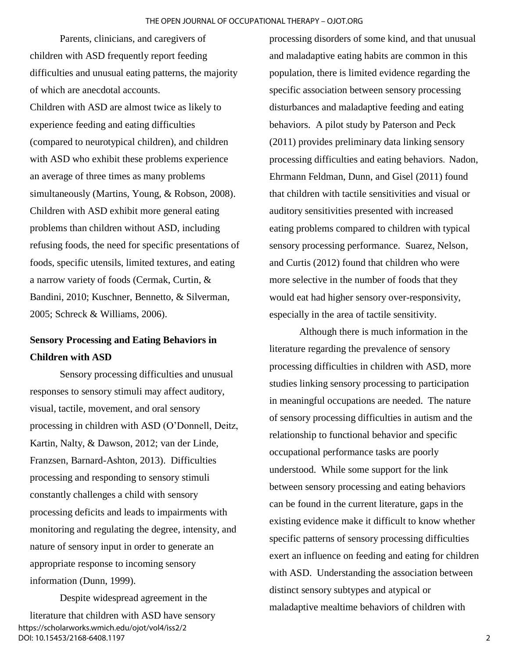Parents, clinicians, and caregivers of children with ASD frequently report feeding difficulties and unusual eating patterns, the majority of which are anecdotal accounts.

Children with ASD are almost twice as likely to experience feeding and eating difficulties (compared to neurotypical children), and children with ASD who exhibit these problems experience an average of three times as many problems simultaneously (Martins, Young, & Robson, 2008). Children with ASD exhibit more general eating problems than children without ASD, including refusing foods, the need for specific presentations of foods, specific utensils, limited textures, and eating a narrow variety of foods (Cermak, Curtin, & Bandini, 2010; Kuschner, Bennetto, & Silverman, 2005; Schreck & Williams, 2006).

# **Sensory Processing and Eating Behaviors in Children with ASD**

 Sensory processing difficulties and unusual responses to sensory stimuli may affect auditory, visual, tactile, movement, and oral sensory processing in children with ASD (O'Donnell, Deitz, Kartin, Nalty, & Dawson, 2012; van der Linde, Franzsen, Barnard-Ashton, 2013). Difficulties processing and responding to sensory stimuli constantly challenges a child with sensory processing deficits and leads to impairments with monitoring and regulating the degree, intensity, and nature of sensory input in order to generate an appropriate response to incoming sensory information (Dunn, 1999).

 Despite widespread agreement in the literature that children with ASD have sensory https://scholarworks.wmich.edu/ojot/vol4/iss2/2 DOI: 10.15453/2168-6408.1197

processing disorders of some kind, and that unusual and maladaptive eating habits are common in this population, there is limited evidence regarding the specific association between sensory processing disturbances and maladaptive feeding and eating behaviors. A pilot study by Paterson and Peck (2011) provides preliminary data linking sensory processing difficulties and eating behaviors. Nadon, Ehrmann Feldman, Dunn, and Gisel (2011) found that children with tactile sensitivities and visual or auditory sensitivities presented with increased eating problems compared to children with typical sensory processing performance. Suarez, Nelson, and Curtis (2012) found that children who were more selective in the number of foods that they would eat had higher sensory over-responsivity, especially in the area of tactile sensitivity.

Although there is much information in the literature regarding the prevalence of sensory processing difficulties in children with ASD, more studies linking sensory processing to participation in meaningful occupations are needed. The nature of sensory processing difficulties in autism and the relationship to functional behavior and specific occupational performance tasks are poorly understood. While some support for the link between sensory processing and eating behaviors can be found in the current literature, gaps in the existing evidence make it difficult to know whether specific patterns of sensory processing difficulties exert an influence on feeding and eating for children with ASD. Understanding the association between distinct sensory subtypes and atypical or maladaptive mealtime behaviors of children with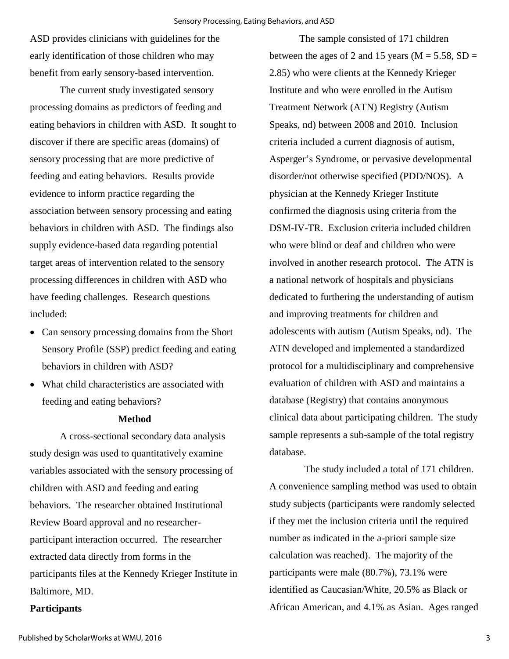ASD provides clinicians with guidelines for the early identification of those children who may benefit from early sensory-based intervention.

The current study investigated sensory processing domains as predictors of feeding and eating behaviors in children with ASD. It sought to discover if there are specific areas (domains) of sensory processing that are more predictive of feeding and eating behaviors. Results provide evidence to inform practice regarding the association between sensory processing and eating behaviors in children with ASD. The findings also supply evidence-based data regarding potential target areas of intervention related to the sensory processing differences in children with ASD who have feeding challenges. Research questions included:

- Can sensory processing domains from the Short Sensory Profile (SSP) predict feeding and eating behaviors in children with ASD?
- What child characteristics are associated with feeding and eating behaviors?

# **Method**

A cross-sectional secondary data analysis study design was used to quantitatively examine variables associated with the sensory processing of children with ASD and feeding and eating behaviors. The researcher obtained Institutional Review Board approval and no researcherparticipant interaction occurred. The researcher extracted data directly from forms in the participants files at the Kennedy Krieger Institute in Baltimore, MD.

# **Participants**

 The sample consisted of 171 children between the ages of 2 and 15 years ( $M = 5.58$ , SD = 2.85) who were clients at the Kennedy Krieger Institute and who were enrolled in the Autism Treatment Network (ATN) Registry (Autism Speaks, nd) between 2008 and 2010. Inclusion criteria included a current diagnosis of autism, Asperger's Syndrome, or pervasive developmental disorder/not otherwise specified (PDD/NOS). A physician at the Kennedy Krieger Institute confirmed the diagnosis using criteria from the DSM-IV-TR. Exclusion criteria included children who were blind or deaf and children who were involved in another research protocol. The ATN is a national network of hospitals and physicians dedicated to furthering the understanding of autism and improving treatments for children and adolescents with autism (Autism Speaks, nd). The ATN developed and implemented a standardized protocol for a multidisciplinary and comprehensive evaluation of children with ASD and maintains a database (Registry) that contains anonymous clinical data about participating children. The study sample represents a sub-sample of the total registry database.

The study included a total of 171 children. A convenience sampling method was used to obtain study subjects (participants were randomly selected if they met the inclusion criteria until the required number as indicated in the a-priori sample size calculation was reached). The majority of the participants were male (80.7%), 73.1% were identified as Caucasian/White, 20.5% as Black or African American, and 4.1% as Asian. Ages ranged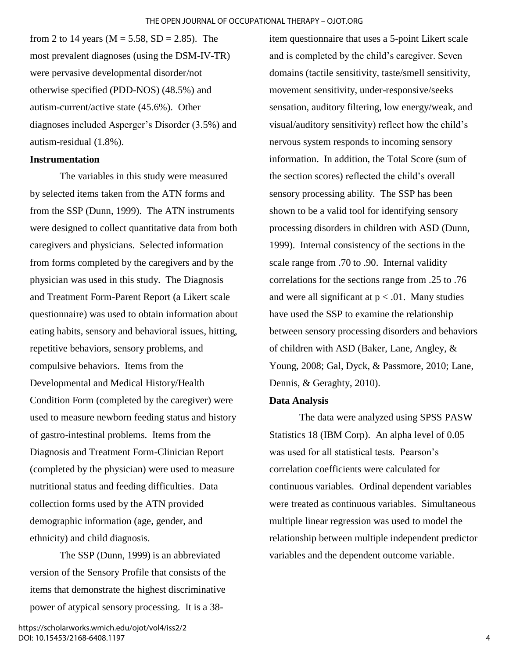from 2 to 14 years ( $M = 5.58$ ,  $SD = 2.85$ ). The most prevalent diagnoses (using the DSM-IV-TR) were pervasive developmental disorder/not otherwise specified (PDD-NOS) (48.5%) and autism-current/active state (45.6%). Other diagnoses included Asperger's Disorder (3.5%) and autism-residual (1.8%).

# **Instrumentation**

The variables in this study were measured by selected items taken from the ATN forms and from the SSP (Dunn, 1999). The ATN instruments were designed to collect quantitative data from both caregivers and physicians. Selected information from forms completed by the caregivers and by the physician was used in this study. The Diagnosis and Treatment Form-Parent Report (a Likert scale questionnaire) was used to obtain information about eating habits, sensory and behavioral issues, hitting, repetitive behaviors, sensory problems, and compulsive behaviors. Items from the Developmental and Medical History/Health Condition Form (completed by the caregiver) were used to measure newborn feeding status and history of gastro-intestinal problems. Items from the Diagnosis and Treatment Form-Clinician Report (completed by the physician) were used to measure nutritional status and feeding difficulties. Data collection forms used by the ATN provided demographic information (age, gender, and ethnicity) and child diagnosis.

The SSP (Dunn, 1999) is an abbreviated version of the Sensory Profile that consists of the items that demonstrate the highest discriminative power of atypical sensory processing. It is a 38and is completed by the child's caregiver. Seven domains (tactile sensitivity, taste/smell sensitivity, movement sensitivity, under-responsive/seeks sensation, auditory filtering, low energy/weak, and visual/auditory sensitivity) reflect how the child's nervous system responds to incoming sensory information. In addition, the Total Score (sum of the section scores) reflected the child's overall sensory processing ability. The SSP has been shown to be a valid tool for identifying sensory processing disorders in children with ASD (Dunn, 1999). Internal consistency of the sections in the scale range from .70 to .90. Internal validity correlations for the sections range from .25 to .76 and were all significant at  $p < .01$ . Many studies have used the SSP to examine the relationship between sensory processing disorders and behaviors of children with ASD (Baker, Lane, Angley, & Young, 2008; Gal, Dyck, & Passmore, 2010; Lane, Dennis, & Geraghty, 2010).

item questionnaire that uses a 5-point Likert scale

## **Data Analysis**

The data were analyzed using SPSS PASW Statistics 18 (IBM Corp). An alpha level of 0.05 was used for all statistical tests. Pearson's correlation coefficients were calculated for continuous variables. Ordinal dependent variables were treated as continuous variables. Simultaneous multiple linear regression was used to model the relationship between multiple independent predictor variables and the dependent outcome variable.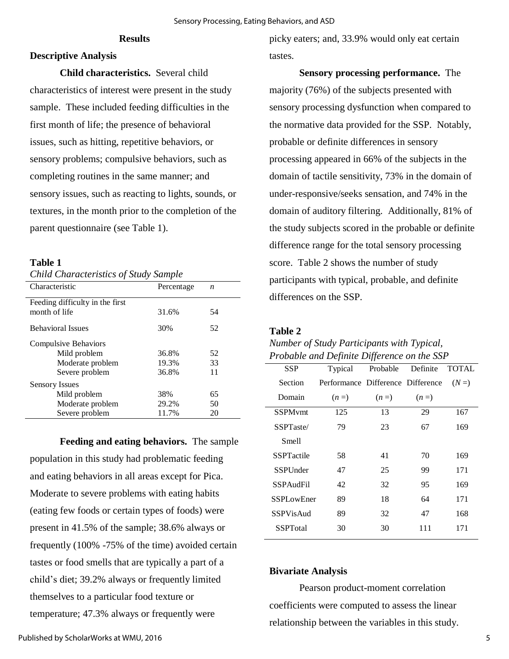# **Results**

# **Descriptive Analysis**

**Child characteristics.** Several child characteristics of interest were present in the study sample. These included feeding difficulties in the first month of life; the presence of behavioral issues, such as hitting, repetitive behaviors, or sensory problems; compulsive behaviors, such as completing routines in the same manner; and sensory issues, such as reacting to lights, sounds, or textures, in the month prior to the completion of the parent questionnaire (see Table 1).

## **Table 1**

*Child Characteristics of Study Sample* 

| Characteristic<br>Percentage    |       | n  |  |  |
|---------------------------------|-------|----|--|--|
| Feeding difficulty in the first |       |    |  |  |
| month of life                   | 31.6% | 54 |  |  |
| <b>Behavioral Issues</b>        | 30%   | 52 |  |  |
| Compulsive Behaviors            |       |    |  |  |
| Mild problem                    | 36.8% | 52 |  |  |
| Moderate problem                | 19.3% | 33 |  |  |
| Severe problem                  | 36.8% | 11 |  |  |
| <b>Sensory Issues</b>           |       |    |  |  |
| Mild problem                    | 38%   | 65 |  |  |
| Moderate problem                | 29.2% | 50 |  |  |
| Severe problem                  | 11.7% | 20 |  |  |

**Feeding and eating behaviors.** The sample population in this study had problematic feeding and eating behaviors in all areas except for Pica. Moderate to severe problems with eating habits (eating few foods or certain types of foods) were present in 41.5% of the sample; 38.6% always or frequently (100% -75% of the time) avoided certain tastes or food smells that are typically a part of a child's diet; 39.2% always or frequently limited themselves to a particular food texture or temperature; 47.3% always or frequently were

picky eaters; and, 33.9% would only eat certain tastes.

**Sensory processing performance.** The majority (76%) of the subjects presented with sensory processing dysfunction when compared to the normative data provided for the SSP. Notably, probable or definite differences in sensory processing appeared in 66% of the subjects in the domain of tactile sensitivity, 73% in the domain of under-responsive/seeks sensation, and 74% in the domain of auditory filtering. Additionally, 81% of the study subjects scored in the probable or definite difference range for the total sensory processing score. Table 2 shows the number of study participants with typical, probable, and definite differences on the SSP.

#### **Table 2**

| Probable and Definite Difference on the SSP |                                   |          |          |              |  |
|---------------------------------------------|-----------------------------------|----------|----------|--------------|--|
| SSP                                         | Typical                           | Probable | Definite | <b>TOTAL</b> |  |
| Section                                     | Performance Difference Difference |          |          | $(N=)$       |  |
| Domain                                      | $(n=)$                            | $(n=)$   | $(n=)$   |              |  |
| <b>SSPM</b> vmt                             | 125                               | 13       | 29       | 167          |  |
| SSPTaste/                                   | 79                                | 23       | 67       | 169          |  |
| Smell                                       |                                   |          |          |              |  |
| <b>SSPTactile</b>                           | 58                                | 41       | 70       | 169          |  |
| <b>SSPU</b> nder                            | 47                                | 25       | 99       | 171          |  |
| SSPAudFil                                   | 42                                | 32       | 95       | 169          |  |
| <b>SSPLowEner</b>                           | 89                                | 18       | 64       | 171          |  |
| <b>SSPVisAud</b>                            | 89                                | 32       | 47       | 168          |  |
| <b>SSPT</b> otal                            | 30                                | 30       | 111      | 171          |  |

# *Number of Study Participants with Typical,*

#### **Bivariate Analysis**

Pearson product-moment correlation coefficients were computed to assess the linear relationship between the variables in this study.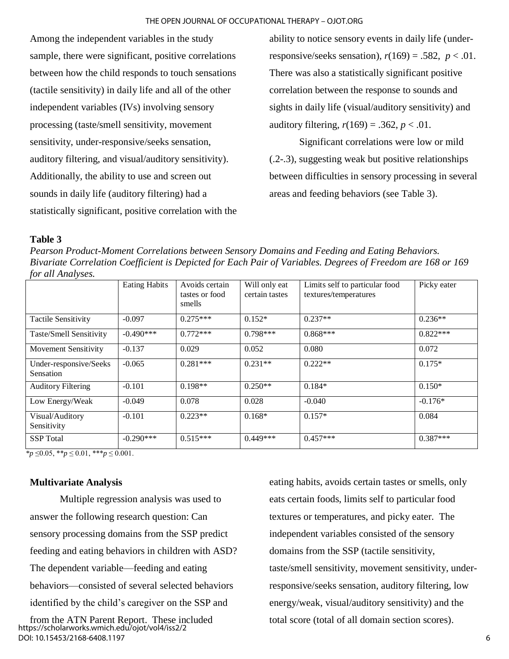Among the independent variables in the study sample, there were significant, positive correlations between how the child responds to touch sensations (tactile sensitivity) in daily life and all of the other independent variables (IVs) involving sensory processing (taste/smell sensitivity, movement sensitivity, under-responsive/seeks sensation, auditory filtering, and visual/auditory sensitivity). Additionally, the ability to use and screen out sounds in daily life (auditory filtering) had a statistically significant, positive correlation with the ability to notice sensory events in daily life (underresponsive/seeks sensation),  $r(169) = .582$ ,  $p < .01$ . There was also a statistically significant positive correlation between the response to sounds and sights in daily life (visual/auditory sensitivity) and auditory filtering,  $r(169) = .362$ ,  $p < .01$ .

Significant correlations were low or mild (.2-.3), suggesting weak but positive relationships between difficulties in sensory processing in several areas and feeding behaviors (see Table 3).

# **Table 3**

*Pearson Product-Moment Correlations between Sensory Domains and Feeding and Eating Behaviors. Bivariate Correlation Coefficient is Depicted for Each Pair of Variables. Degrees of Freedom are 168 or 169 for all Analyses.*

|                                     | <b>Eating Habits</b> | Avoids certain<br>tastes or food<br>smells | Will only eat<br>certain tastes | Limits self to particular food<br>textures/temperatures | Picky eater |
|-------------------------------------|----------------------|--------------------------------------------|---------------------------------|---------------------------------------------------------|-------------|
|                                     |                      |                                            |                                 |                                                         |             |
| <b>Tactile Sensitivity</b>          | $-0.097$             | $0.275***$                                 | $0.152*$                        | $0.237**$                                               | $0.236**$   |
| Taste/Smell Sensitivity             | $-0.490***$          | $0.772***$                                 | $0.798***$                      | $0.868***$                                              | $0.822***$  |
| Movement Sensitivity                | $-0.137$             | 0.029                                      | 0.052                           | 0.080                                                   | 0.072       |
| Under-responsive/Seeks<br>Sensation | $-0.065$             | $0.281***$                                 | $0.231**$                       | $0.222**$                                               | $0.175*$    |
| <b>Auditory Filtering</b>           | $-0.101$             | $0.198**$                                  | $0.250**$                       | $0.184*$                                                | $0.150*$    |
| Low Energy/Weak                     | $-0.049$             | 0.078                                      | 0.028                           | $-0.040$                                                | $-0.176*$   |
| Visual/Auditory<br>Sensitivity      | $-0.101$             | $0.223**$                                  | $0.168*$                        | $0.157*$                                                | 0.084       |
| <b>SSP</b> Total                    | $-0.290***$          | $0.515***$                                 | $0.449***$                      | $0.457***$                                              | $0.387***$  |

 $*_{p} \leq 0.05$ ,  $*_{p} \leq 0.01$ ,  $*_{p} \leq 0.001$ .

# **Multivariate Analysis**

Multiple regression analysis was used to answer the following research question: Can sensory processing domains from the SSP predict feeding and eating behaviors in children with ASD? The dependent variable—feeding and eating behaviors—consisted of several selected behaviors identified by the child's caregiver on the SSP and

from the ATN Parent Report. These included https://scholarworks.wmich.edu/ojot/vol4/iss2/2 DOI: 10.15453/2168-6408.1197

eating habits, avoids certain tastes or smells, only eats certain foods, limits self to particular food textures or temperatures, and picky eater*.* The independent variables consisted of the sensory domains from the SSP (tactile sensitivity, taste/smell sensitivity, movement sensitivity, underresponsive/seeks sensation, auditory filtering, low energy/weak, visual/auditory sensitivity) and the total score (total of all domain section scores).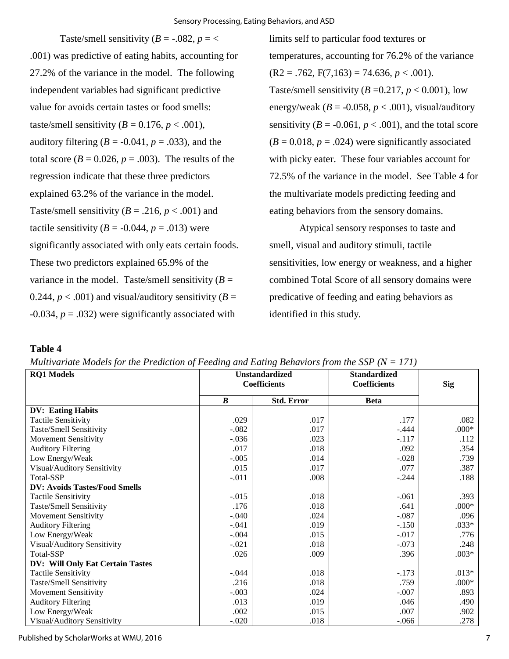Taste/smell sensitivity  $(B = -0.082, p = 0.082)$ .001) was predictive of eating habits, accounting for 27.2% of the variance in the model. The following independent variables had significant predictive value for avoids certain tastes or food smells: taste/smell sensitivity  $(B = 0.176, p < .001)$ , auditory filtering  $(B = -0.041, p = .033)$ , and the total score ( $B = 0.026$ ,  $p = .003$ ). The results of the regression indicate that these three predictors explained 63.2% of the variance in the model. Taste/smell sensitivity ( $B = .216$ ,  $p < .001$ ) and tactile sensitivity  $(B = -0.044, p = .013)$  were significantly associated with only eats certain foods. These two predictors explained 65.9% of the variance in the model. Taste/smell sensitivity  $(B =$ 0.244,  $p < .001$ ) and visual/auditory sensitivity ( $B =$ -0.034, *p* = .032) were significantly associated with

limits self to particular food textures or temperatures, accounting for 76.2% of the variance  $(R2 = .762, F(7,163) = 74.636, p < .001)$ .

Taste/smell sensitivity  $(B = 0.217, p < 0.001)$ , low energy/weak ( $B = -0.058$ ,  $p < .001$ ), visual/auditory sensitivity  $(B = -0.061, p < .001)$ , and the total score  $(B = 0.018, p = .024)$  were significantly associated with picky eater. These four variables account for 72.5% of the variance in the model. See Table 4 for the multivariate models predicting feeding and eating behaviors from the sensory domains.

Atypical sensory responses to taste and smell, visual and auditory stimuli, tactile sensitivities, low energy or weakness, and a higher combined Total Score of all sensory domains were predicative of feeding and eating behaviors as identified in this study.

**Table 4** 

| <b>RQ1 Models</b>                    | <b>Unstandardized</b><br><b>Coefficients</b> |                   | <b>Standardized</b><br><b>Coefficients</b> | <b>Sig</b> |
|--------------------------------------|----------------------------------------------|-------------------|--------------------------------------------|------------|
|                                      | $\boldsymbol{B}$                             | <b>Std. Error</b> | <b>Beta</b>                                |            |
| <b>DV: Eating Habits</b>             |                                              |                   |                                            |            |
| <b>Tactile Sensitivity</b>           | .029                                         | .017              | .177                                       | .082       |
| Taste/Smell Sensitivity              | $-.082$                                      | .017              | $-.444$                                    | $.000*$    |
| Movement Sensitivity                 | $-.036$                                      | .023              | $-.117$                                    | .112       |
| <b>Auditory Filtering</b>            | .017                                         | .018              | .092                                       | .354       |
| Low Energy/Weak                      | $-.005$                                      | .014              | $-.028$                                    | .739       |
| Visual/Auditory Sensitivity          | .015                                         | .017              | .077                                       | .387       |
| Total-SSP                            | $-.011$                                      | .008              | $-.244$                                    | .188       |
| <b>DV: Avoids Tastes/Food Smells</b> |                                              |                   |                                            |            |
| <b>Tactile Sensitivity</b>           | $-.015$                                      | .018              | $-.061$                                    | .393       |
| Taste/Smell Sensitivity              | .176                                         | .018              | .641                                       | $.000*$    |
| Movement Sensitivity                 | $-.040$                                      | .024              | $-.087$                                    | .096       |
| <b>Auditory Filtering</b>            | $-.041$                                      | .019              | $-.150$                                    | $.033*$    |
| Low Energy/Weak                      | $-.004$                                      | .015              | $-.017$                                    | .776       |
| Visual/Auditory Sensitivity          | $-.021$                                      | .018              | $-.073$                                    | .248       |
| Total-SSP                            | .026                                         | .009              | .396                                       | $.003*$    |
| DV: Will Only Eat Certain Tastes     |                                              |                   |                                            |            |
| <b>Tactile Sensitivity</b>           | $-.044$                                      | .018              | $-.173$                                    | $.013*$    |
| Taste/Smell Sensitivity              | .216                                         | .018              | .759                                       | $.000*$    |
| Movement Sensitivity                 | $-.003$                                      | .024              | $-.007$                                    | .893       |
| <b>Auditory Filtering</b>            | .013                                         | .019              | .046                                       | .490       |
| Low Energy/Weak                      | .002                                         | .015              | .007                                       | .902       |
| Visual/Auditory Sensitivity          | $-.020$                                      | .018              | $-0.066$                                   | .278       |

*Multivariate Models for the Prediction of Feeding and Eating Behaviors from the SSP (N = 171)* 

Published by ScholarWorks at WMU, 2016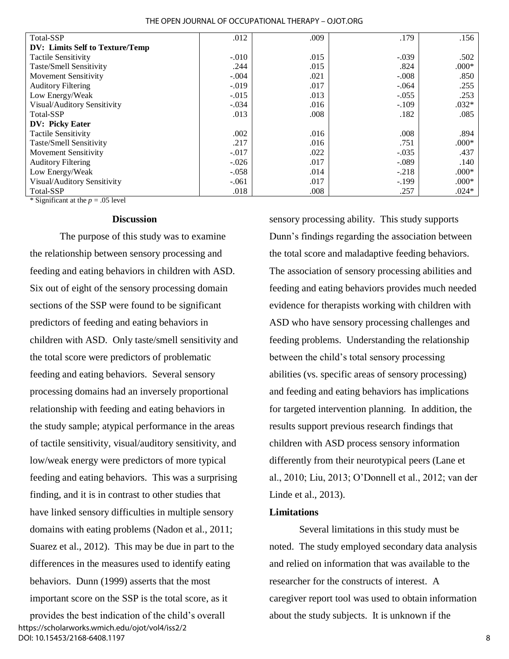| Total-SSP                       | .012    | .009 | .179    | .156    |
|---------------------------------|---------|------|---------|---------|
| DV: Limits Self to Texture/Temp |         |      |         |         |
| Tactile Sensitivity             | $-.010$ | .015 | $-.039$ | .502    |
| Taste/Smell Sensitivity         | .244    | .015 | .824    | $.000*$ |
| Movement Sensitivity            | $-.004$ | .021 | $-.008$ | .850    |
| <b>Auditory Filtering</b>       | $-.019$ | .017 | $-.064$ | .255    |
| Low Energy/Weak                 | $-.015$ | .013 | $-.055$ | .253    |
| Visual/Auditory Sensitivity     | $-.034$ | .016 | $-.109$ | $.032*$ |
| Total-SSP                       | .013    | .008 | .182    | .085    |
| <b>DV: Picky Eater</b>          |         |      |         |         |
| <b>Tactile Sensitivity</b>      | .002    | .016 | .008    | .894    |
| Taste/Smell Sensitivity         | .217    | .016 | .751    | $.000*$ |
| Movement Sensitivity            | $-.017$ | .022 | $-.035$ | .437    |
| <b>Auditory Filtering</b>       | $-.026$ | .017 | $-.089$ | .140    |
| Low Energy/Weak                 | $-.058$ | .014 | $-.218$ | $.000*$ |
| Visual/Auditory Sensitivity     | $-.061$ | .017 | $-.199$ | $.000*$ |
| Total-SSP                       | .018    | .008 | .257    | $.024*$ |

#### THE OPEN JOURNAL OF OCCUPATIONAL THERAPY – OJOT.ORG

\* Significant at the  $p = .05$  level

# **Discussion**

The purpose of this study was to examine the relationship between sensory processing and feeding and eating behaviors in children with ASD. Six out of eight of the sensory processing domain sections of the SSP were found to be significant predictors of feeding and eating behaviors in children with ASD. Only taste/smell sensitivity and the total score were predictors of problematic feeding and eating behaviors. Several sensory processing domains had an inversely proportional relationship with feeding and eating behaviors in the study sample; atypical performance in the areas of tactile sensitivity, visual/auditory sensitivity, and low/weak energy were predictors of more typical feeding and eating behaviors. This was a surprising finding, and it is in contrast to other studies that have linked sensory difficulties in multiple sensory domains with eating problems (Nadon et al., 2011; Suarez et al., 2012). This may be due in part to the differences in the measures used to identify eating behaviors. Dunn (1999) asserts that the most important score on the SSP is the total score, as it

provides the best indication of the child's overall https://scholarworks.wmich.edu/ojot/vol4/iss2/2 DOI: 10.15453/2168-6408.1197

sensory processing ability. This study supports Dunn's findings regarding the association between the total score and maladaptive feeding behaviors. The association of sensory processing abilities and feeding and eating behaviors provides much needed evidence for therapists working with children with ASD who have sensory processing challenges and feeding problems. Understanding the relationship between the child's total sensory processing abilities (vs. specific areas of sensory processing) and feeding and eating behaviors has implications for targeted intervention planning. In addition, the results support previous research findings that children with ASD process sensory information differently from their neurotypical peers (Lane et al., 2010; Liu, 2013; O'Donnell et al., 2012; van der Linde et al., 2013).

## **Limitations**

Several limitations in this study must be noted. The study employed secondary data analysis and relied on information that was available to the researcher for the constructs of interest. A caregiver report tool was used to obtain information about the study subjects. It is unknown if the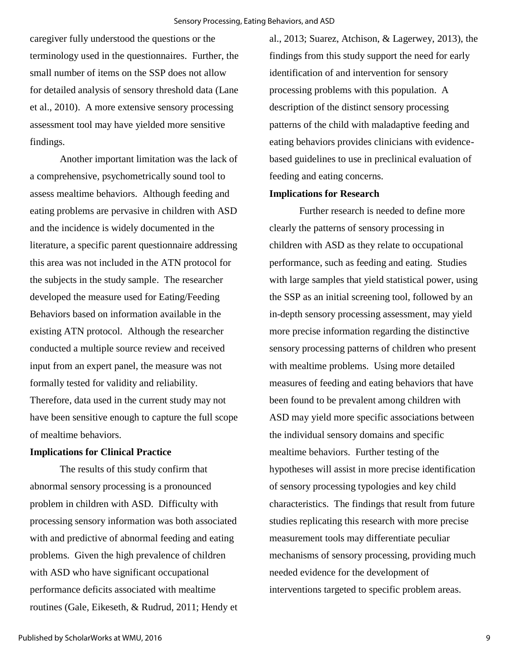caregiver fully understood the questions or the terminology used in the questionnaires. Further, the small number of items on the SSP does not allow for detailed analysis of sensory threshold data (Lane et al., 2010). A more extensive sensory processing assessment tool may have yielded more sensitive findings.

 Another important limitation was the lack of a comprehensive, psychometrically sound tool to assess mealtime behaviors. Although feeding and eating problems are pervasive in children with ASD and the incidence is widely documented in the literature, a specific parent questionnaire addressing this area was not included in the ATN protocol for the subjects in the study sample. The researcher developed the measure used for Eating/Feeding Behaviors based on information available in the existing ATN protocol. Although the researcher conducted a multiple source review and received input from an expert panel, the measure was not formally tested for validity and reliability. Therefore, data used in the current study may not have been sensitive enough to capture the full scope of mealtime behaviors.

# **Implications for Clinical Practice**

The results of this study confirm that abnormal sensory processing is a pronounced problem in children with ASD. Difficulty with processing sensory information was both associated with and predictive of abnormal feeding and eating problems. Given the high prevalence of children with ASD who have significant occupational performance deficits associated with mealtime routines (Gale, Eikeseth, & Rudrud, 2011; Hendy et al., 2013; Suarez, Atchison, & Lagerwey, 2013), the findings from this study support the need for early identification of and intervention for sensory processing problems with this population. A description of the distinct sensory processing patterns of the child with maladaptive feeding and eating behaviors provides clinicians with evidencebased guidelines to use in preclinical evaluation of feeding and eating concerns.

## **Implications for Research**

 Further research is needed to define more clearly the patterns of sensory processing in children with ASD as they relate to occupational performance, such as feeding and eating. Studies with large samples that yield statistical power, using the SSP as an initial screening tool, followed by an in-depth sensory processing assessment, may yield more precise information regarding the distinctive sensory processing patterns of children who present with mealtime problems. Using more detailed measures of feeding and eating behaviors that have been found to be prevalent among children with ASD may yield more specific associations between the individual sensory domains and specific mealtime behaviors. Further testing of the hypotheses will assist in more precise identification of sensory processing typologies and key child characteristics. The findings that result from future studies replicating this research with more precise measurement tools may differentiate peculiar mechanisms of sensory processing, providing much needed evidence for the development of interventions targeted to specific problem areas.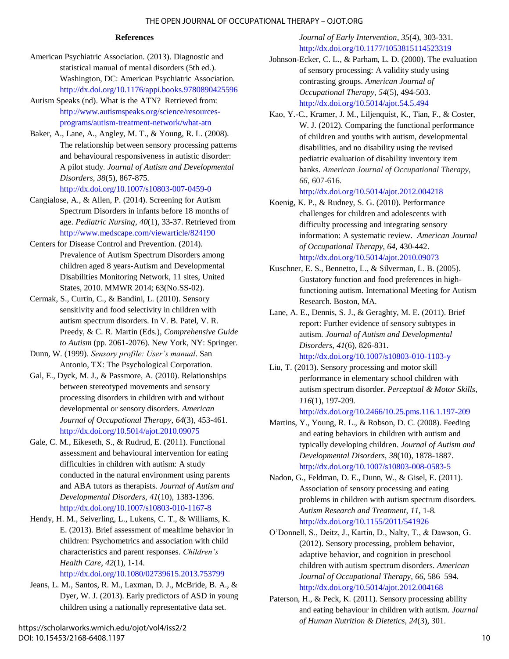## **References**

- American Psychiatric Association. (2013). Diagnostic and statistical manual of mental disorders (5th ed.). Washington, DC: American Psychiatric Association. <http://dx.doi.org/10.1176/appi.books.9780890425596>
- Autism Speaks (nd). What is the ATN? Retrieved from: [http://www.autismspeaks.org/science/resources](http://www.autismspeaks.org/science/resources-programs/autism-treatment-network/what-atn)[programs/autism-treatment-network/what-atn](http://www.autismspeaks.org/science/resources-programs/autism-treatment-network/what-atn)
- Baker, A., Lane, A., Angley, M. T., & Young, R. L. (2008). The relationship between sensory processing patterns and behavioural responsiveness in autistic disorder: A pilot study. *Journal of Autism and Developmental Disorders*, *38*(5), 867-875. <http://dx.doi.org/10.1007/s10803-007-0459-0>
- Cangialose, A., & Allen, P. (2014). Screening for Autism Spectrum Disorders in infants before 18 months of age. *Pediatric Nursing*, *40*(1), 33-37. Retrieved from <http://www.medscape.com/viewarticle/824190>
- Centers for Disease Control and Prevention. (2014). Prevalence of Autism Spectrum Disorders among children aged 8 years-Autism and Developmental Disabilities Monitoring Network, 11 sites, United States, 2010. MMWR 2014; 63(No.SS-02).
- Cermak, S., Curtin, C., & Bandini, L. (2010). Sensory sensitivity and food selectivity in children with autism spectrum disorders. In V. B. Patel, V. R. Preedy, & C. R. Martin (Eds.), *Comprehensive Guide to Autism* (pp. 2061-2076). New York, NY: Springer.
- Dunn, W. (1999). *Sensory profile: User's manual*. San Antonio, TX: The Psychological Corporation.
- Gal, E., Dyck, M. J., & Passmore, A. (2010). Relationships between stereotyped movements and sensory processing disorders in children with and without developmental or sensory disorders. *American Journal of Occupational Therapy*, *64*(3), 453-461. <http://dx.doi.org/10.5014/ajot.2010.09075>
- Gale, C. M., Eikeseth, S., & Rudrud, E. (2011). Functional assessment and behavioural intervention for eating difficulties in children with autism: A study conducted in the natural environment using parents and ABA tutors as therapists. *Journal of Autism and Developmental Disorders*, *41*(10), 1383-1396. <http://dx.doi.org/10.1007/s10803-010-1167-8>
- Hendy, H. M., Seiverling, L., Lukens, C. T., & Williams, K. E. (2013). Brief assessment of mealtime behavior in children: Psychometrics and association with child characteristics and parent responses. *Children's Health Care*, *42*(1), 1-14. <http://dx.doi.org/10.1080/02739615.2013.753799>
- Jeans, L. M., Santos, R. M., Laxman, D. J., McBride, B. A., & Dyer, W. J. (2013). Early predictors of ASD in young children using a nationally representative data set.

# *Journal of Early Intervention*, *35*(4), 303-331. <http://dx.doi.org/10.1177/1053815114523319>

- Johnson-Ecker, C. L., & Parham, L. D. (2000). The evaluation of sensory processing: A validity study using contrasting groups. *American Journal of Occupational Therapy*, *54*(5), 494-503. <http://dx.doi.org/10.5014/ajot.54.5.494>
- Kao, Y.-C., Kramer, J. M., Liljenquist, K., Tian, F., & Coster, W. J. (2012). Comparing the functional performance of children and youths with autism, developmental disabilities, and no disability using the revised pediatric evaluation of disability inventory item banks. *American Journal of Occupational Therapy*, *66*, 607-616.

# <http://dx.doi.org/10.5014/ajot.2012.004218>

- Koenig, K. P., & Rudney, S. G. (2010). Performance challenges for children and adolescents with difficulty processing and integrating sensory information: A systematic review. *American Journal of Occupational Therapy*, *64*, 430-442. <http://dx.doi.org/10.5014/ajot.2010.09073>
- Kuschner, E. S., Bennetto, L., & Silverman, L. B. (2005). Gustatory function and food preferences in highfunctioning autism. International Meeting for Autism Research. Boston, MA.
- Lane, A. E., Dennis, S. J., & Geraghty, M. E. (2011). Brief report: Further evidence of sensory subtypes in autism. *Journal of Autism and Developmental Disorders*, *41*(6), 826-831.

<http://dx.doi.org/10.1007/s10803-010-1103-y>

Liu, T. (2013). Sensory processing and motor skill performance in elementary school children with autism spectrum disorder. *Perceptual & Motor Skills*, *116*(1), 197-209.

#### <http://dx.doi.org/10.2466/10.25.pms.116.1.197-209>

- Martins, Y., Young, R. L., & Robson, D. C. (2008). Feeding and eating behaviors in children with autism and typically developing children. *Journal of Autism and Developmental Disorders*, *38*(10), 1878-1887. <http://dx.doi.org/10.1007/s10803-008-0583-5>
- Nadon, G., Feldman, D. E., Dunn, W., & Gisel, E. (2011). Association of sensory processing and eating problems in children with autism spectrum disorders. *Autism Research and Treatment*, *11*, 1-8. <http://dx.doi.org/10.1155/2011/541926>
- O'Donnell, S., Deitz, J., Kartin, D., Nalty, T., & Dawson, G. (2012). Sensory processing, problem behavior, adaptive behavior, and cognition in preschool children with autism spectrum disorders. *American Journal of Occupational Therapy*, *66*, 586–594. <http://dx.doi.org/10.5014/ajot.2012.004168>
- Paterson, H., & Peck, K. (2011). Sensory processing ability and eating behaviour in children with autism. *Journal of Human Nutrition & Dietetics*, *24*(3), 301.